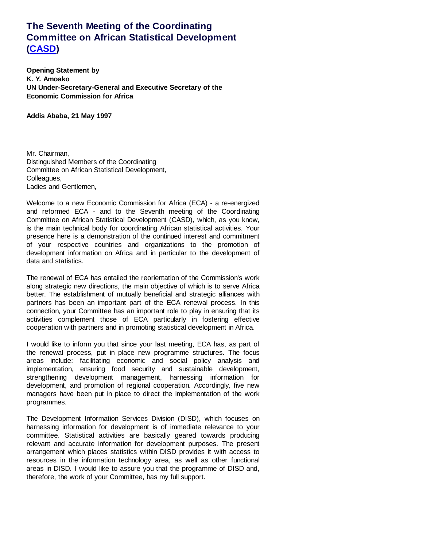## **The Seventh Meeting of the Coordinating Committee on African Statistical Development (CASD)**

**Opening Statement by K. Y. Amoako UN Under-Secretary-General and Executive Secretary of the Economic Commission for Africa**

**Addis Ababa, 21 May 1997**

Mr. Chairman, Distinguished Members of the Coordinating Committee on African Statistical Development, Colleagues, Ladies and Gentlemen,

Welcome to a new Economic Commission for Africa (ECA) - a re-energized and reformed ECA - and to the Seventh meeting of the Coordinating Committee on African Statistical Development (CASD), which, as you know, is the main technical body for coordinating African statistical activities. Your presence here is a demonstration of the continued interest and commitment of your respective countries and organizations to the promotion of development information on Africa and in particular to the development of data and statistics.

The renewal of ECA has entailed the reorientation of the Commission's work along strategic new directions, the main objective of which is to serve Africa better. The establishment of mutually beneficial and strategic alliances with partners has been an important part of the ECA renewal process. In this connection, your Committee has an important role to play in ensuring that its activities complement those of ECA particularly in fostering effective cooperation with partners and in promoting statistical development in Africa.

I would like to inform you that since your last meeting, ECA has, as part of the renewal process, put in place new programme structures. The focus areas include: facilitating economic and social policy analysis and implementation, ensuring food security and sustainable development, strengthening development management, harnessing information for development, and promotion of regional cooperation. Accordingly, five new managers have been put in place to direct the implementation of the work programmes.

The Development Information Services Division (DISD), which focuses on harnessing information for development is of immediate relevance to your committee. Statistical activities are basically geared towards producing relevant and accurate information for development purposes. The present arrangement which places statistics within DISD provides it with access to resources in the information technology area, as well as other functional areas in DISD. I would like to assure you that the programme of DISD and, therefore, the work of your Committee, has my full support.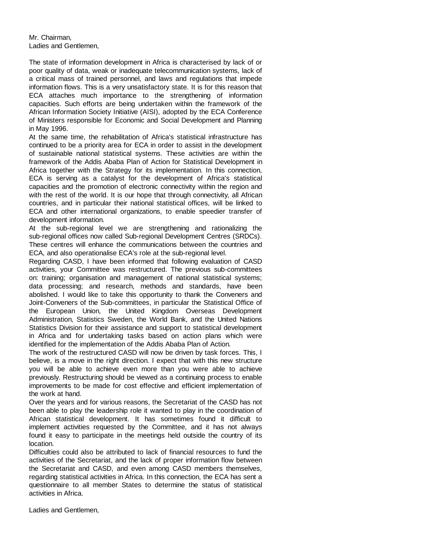Mr. Chairman, Ladies and Gentlemen,

The state of information development in Africa is characterised by lack of or poor quality of data, weak or inadequate telecommunication systems, lack of a critical mass of trained personnel, and laws and regulations that impede information flows. This is a very unsatisfactory state. It is for this reason that ECA attaches much importance to the strengthening of information capacities. Such efforts are being undertaken within the framework of the African Information Society Initiative (AISI), adopted by the ECA Conference of Ministers responsible for Economic and Social Development and Planning in May 1996.

At the same time, the rehabilitation of Africa's statistical infrastructure has continued to be a priority area for ECA in order to assist in the development of sustainable national statistical systems. These activities are within the framework of the Addis Ababa Plan of Action for Statistical Development in Africa together with the Strategy for its implementation. In this connection, ECA is serving as a catalyst for the development of Africa's statistical capacities and the promotion of electronic connectivity within the region and with the rest of the world. It is our hope that through connectivity, all African countries, and in particular their national statistical offices, will be linked to ECA and other international organizations, to enable speedier transfer of development information.

At the sub-regional level we are strengthening and rationalizing the sub-regional offices now called Sub-regional Development Centres (SRDCs). These centres will enhance the communications between the countries and ECA, and also operationalise ECA's role at the sub-regional level.

Regarding CASD, I have been informed that following evaluation of CASD activities, your Committee was restructured. The previous sub-committees on: training; organisation and management of national statistical systems; data processing; and research, methods and standards, have been abolished. I would like to take this opportunity to thank the Conveners and Joint-Conveners of the Sub-committees, in particular the Statistical Office of the European Union, the United Kingdom Overseas Development Administration, Statistics Sweden, the World Bank, and the United Nations Statistics Division for their assistance and support to statistical development in Africa and for undertaking tasks based on action plans which were identified for the implementation of the Addis Ababa Plan of Action.

The work of the restructured CASD will now be driven by task forces. This, I believe, is a move in the right direction. I expect that with this new structure you will be able to achieve even more than you were able to achieve previously. Restructuring should be viewed as a continuing process to enable improvements to be made for cost effective and efficient implementation of the work at hand.

Over the years and for various reasons, the Secretariat of the CASD has not been able to play the leadership role it wanted to play in the coordination of African statistical development. It has sometimes found it difficult to implement activities requested by the Committee, and it has not always found it easy to participate in the meetings held outside the country of its location.

Difficulties could also be attributed to lack of financial resources to fund the activities of the Secretariat, and the lack of proper information flow between the Secretariat and CASD, and even among CASD members themselves, regarding statistical activities in Africa. In this connection, the ECA has sent a questionnaire to all member States to determine the status of statistical activities in Africa.

Ladies and Gentlemen,